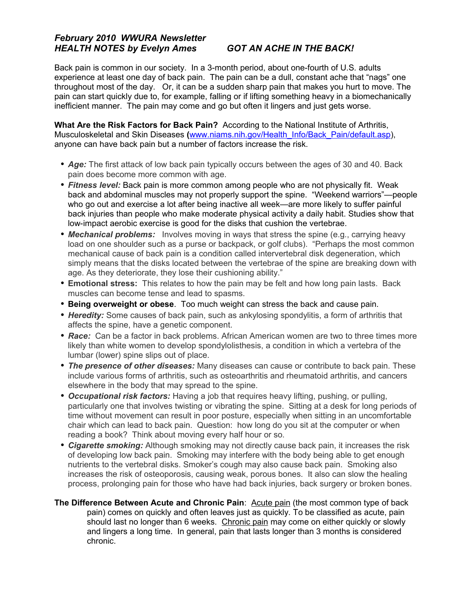## *February 2010 WWURA Newsletter HEALTH NOTES by Evelyn Ames GOT AN ACHE IN THE BACK!*

Back pain is common in our society. In a 3-month period, about one-fourth of U.S. adults experience at least one day of back pain. The pain can be a dull, constant ache that "nags" one throughout most of the day. Or, it can be a sudden sharp pain that makes you hurt to move. The pain can start quickly due to, for example, falling or if lifting something heavy in a biomechanically inefficient manner. The pain may come and go but often it lingers and just gets worse.

**What Are the Risk Factors for Back Pain?** According to the National Institute of Arthritis, Musculoskeletal and Skin Diseases **(**[www.niams.nih.gov/Health\\_Info/Back\\_Pain/default.asp\)](http://www.niams.nih.gov/Health_Info/Back_Pain/default.asp), anyone can have back pain but a number of factors increase the risk.

- *Age:* The first attack of low back pain typically occurs between the ages of 30 and 40. Back pain does become more common with age.
- *Fitness level:* Back pain is more common among people who are not physically fit. Weak back and abdominal muscles may not properly support the spine. "Weekend warriors"—people who go out and exercise a lot after being inactive all week—are more likely to suffer painful back injuries than people who make moderate physical activity a daily habit. Studies show that low-impact aerobic exercise is good for the disks that cushion the vertebrae.
- *Mechanical problems:* Involves moving in ways that stress the spine (e.g., carrying heavy load on one shoulder such as a purse or backpack, or golf clubs). "Perhaps the most common mechanical cause of back pain is a condition called intervertebral disk degeneration, which simply means that the disks located between the vertebrae of the spine are breaking down with age. As they deteriorate, they lose their cushioning ability."
- **Emotional stress:** This relates to how the pain may be felt and how long pain lasts. Back muscles can become tense and lead to spasms.
- **Being overweight or obese**. Too much weight can stress the back and cause pain.
- **Heredity:** Some causes of back pain, such as ankylosing spondylitis, a form of arthritis that affects the spine, have a genetic component.
- *Race:* Can be a factor in back problems. African American women are two to three times more likely than white women to develop spondylolisthesis, a condition in which a vertebra of the lumbar (lower) spine slips out of place.
- *The presence of other diseases:* Many diseases can cause or contribute to back pain. These include various forms of arthritis, such as osteoarthritis and rheumatoid arthritis, and cancers elsewhere in the body that may spread to the spine.
- *Occupational risk factors:* Having a job that requires heavy lifting, pushing, or pulling, particularly one that involves twisting or vibrating the spine. Sitting at a desk for long periods of time without movement can result in poor posture, especially when sitting in an uncomfortable chair which can lead to back pain. Question: how long do you sit at the computer or when reading a book? Think about moving every half hour or so.
- *Cigarette smoking:* Although smoking may not directly cause back pain, it increases the risk of developing low back pain. Smoking may interfere with the body being able to get enough nutrients to the vertebral disks. Smoker's cough may also cause back pain. Smoking also increases the risk of osteoporosis, causing weak, porous bones. It also can slow the healing process, prolonging pain for those who have had back injuries, back surgery or broken bones.
- **The Difference Between Acute and Chronic Pain**: Acute pain (the most common type of back pain) comes on quickly and often leaves just as quickly. To be classified as acute, pain should last no longer than 6 weeks. Chronic pain may come on either quickly or slowly and lingers a long time. In general, pain that lasts longer than 3 months is considered chronic.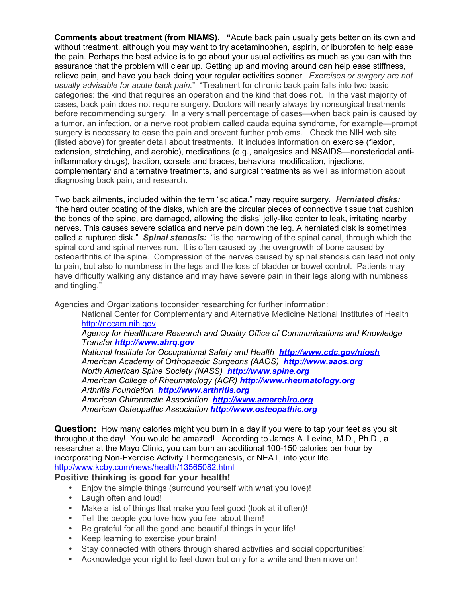**Comments about treatment (from NIAMS). "**Acute back pain usually gets better on its own and without treatment, although you may want to try acetaminophen, aspirin, or ibuprofen to help ease the pain. Perhaps the best advice is to go about your usual activities as much as you can with the assurance that the problem will clear up. Getting up and moving around can help ease stiffness, relieve pain, and have you back doing your regular activities sooner. *Exercises or surgery are not usually advisable for acute back pain.*" "Treatment for chronic back pain falls into two basic categories: the kind that requires an operation and the kind that does not. In the vast majority of cases, back pain does not require surgery. Doctors will nearly always try nonsurgical treatments before recommending surgery. In a very small percentage of cases—when back pain is caused by a tumor, an infection, or a nerve root problem called cauda equina syndrome, for example—prompt surgery is necessary to ease the pain and prevent further problems. Check the NIH web site (listed above) for greater detail about treatments. It includes information on exercise (flexion, extension, stretching, and aerobic), medications (e.g., analgesics and NSAIDS—nonsteriodal antiinflammatory drugs), traction, corsets and braces, behavioral modification, injections, complementary and alternative treatments, and surgical treatments as well as information about diagnosing back pain, and research.

Two back ailments, included within the term "sciatica," may require surgery. *Herniated disks:* "the hard outer coating of the disks, which are the circular pieces of connective tissue that cushion the bones of the spine, are damaged, allowing the disks' jelly-like center to leak, irritating nearby nerves. This causes severe sciatica and nerve pain down the leg. A herniated disk is sometimes called a ruptured disk." *Spinal stenosis:* "is the narrowing of the spinal canal, through which the spinal cord and spinal nerves run. It is often caused by the overgrowth of bone caused by osteoarthritis of the spine. Compression of the nerves caused by spinal stenosis can lead not only to pain, but also to numbness in the legs and the loss of bladder or bowel control. Patients may have difficulty walking any distance and may have severe pain in their legs along with numbness and tingling."

Agencies and Organizations toconsider researching for further information:

National Center for Complementary and Alternative Medicine National Institutes of Health [http://nccam.nih.gov](http://nccam.nih.gov/)

## *Agency for Healthcare Research and Quality Office of Communications and Knowledge Transfer [http://www.ahrq.gov](http://www.ahrq.gov/)*

*National Institute for Occupational Safety and Health <http://www.cdc.gov/niosh> American Academy of Orthopaedic Surgeons (AAOS) [http://www.aaos.org](http://www.aaos.org/) North American Spine Society (NASS) [http://www.spine.org](http://www.spine.org/) American College of Rheumatology (ACR) [http://www.rheumatology.org](http://www.rheumatology.org/) Arthritis Foundation [http://www.arthritis.org](http://www.arthritis.org/) American Chiropractic Association [http://www.amerchiro.org](http://www.amerchiro.org/) American Osteopathic Association [http://www.osteopathic.org](http://www.osteopathic.org/)*

**Question:** How many calories might you burn in a day if you were to tap your feet as you sit throughout the day! You would be amazed! According to James A. Levine, M.D., Ph.D., a researcher at the Mayo Clinic, you can burn an additional 100-150 calories per hour by incorporating Non-Exercise Activity Thermogenesis, or NEAT, into your life. <http://www.kcby.com/news/health/13565082.html>

## **Positive thinking is good for your health!**

- Enjoy the simple things (surround yourself with what you love)!
- Laugh often and loud!
- Make a list of things that make you feel good (look at it often)!
- Tell the people you love how you feel about them!
- Be grateful for all the good and beautiful things in your life!
- Keep learning to exercise your brain!
- Stav connected with others through shared activities and social opportunities!
- Acknowledge your right to feel down but only for a while and then move on!